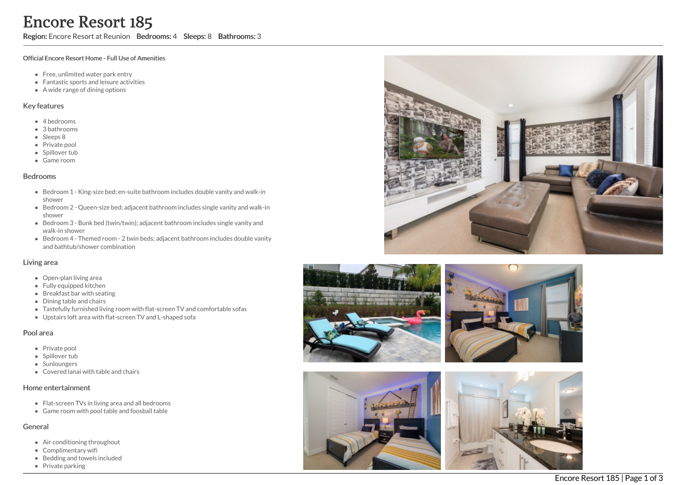Region: Encore Resort at Reunion Bedrooms: 4 Sleeps: 8 Bathrooms: 3

#### Official Encore Resort Home - Full Use of Amenities

- Free, unlimited water park entry
- Fantastic sports and leisure activities
- A wide range of dining options

### Key features

- 4 b e d r o o m s
- 3 b a t h r o o m s
- Sleeps 8
- Private pool
- Spillover tub
- Game room

### **Bedrooms**

- Bedroom 1 King-size bed; en-suite bathroom includes double vanity and walk-in s h o w e r
- Bedroom 2 Queen-size bed; adjacent bathroom includes single vanity and walk-in s h o w e r
- Bedroom 3 Bunk bed (twin/twin); adjacent bathroom includes single vanity and walk-in shower
- Bedroom 4 Themed room 2 twin beds; adjacent bathroom includes double vanity and bathtub/shower combination

### Living area

- Open-plan living area
- Fully equipped kitchen
- Breakfast bar with seating
- Dining table and chairs
- Tastefully furnished living room with flat-screen TV and comfortable sofas
- Upstairs loft area with flat-screen TV and L-shaped sofa

### Pool area

- Private pool
- Spillover tub
- Sunloungers
- Covered lanai with table and chairs

### Home entertainment

- Flat-screen TVs in living area and all bedrooms
- Game room with pool table and foosball table

## General

- Air conditioning throughout
- Complimentary wifi
- Bedding and towels in clu d e d
- Private parking





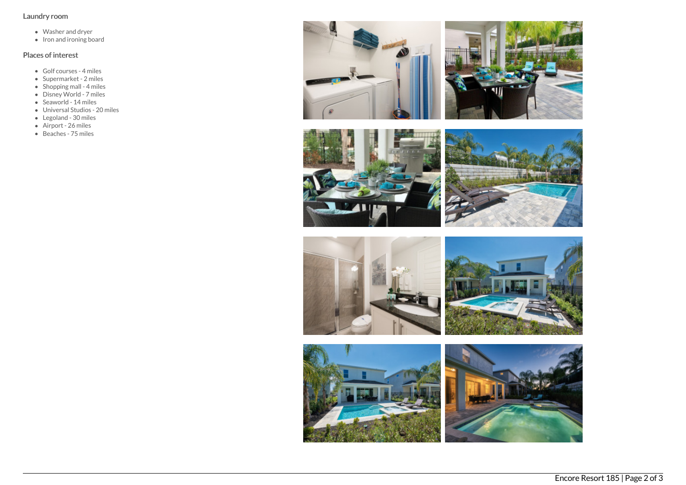## Laundry room

- Washer and dryer
- $\bullet$  Iron and ironing board

# Places of interest

- Golf courses 4 miles
- Supermarket 2 miles
- Shopping mall 4 miles
- Disney World 7 miles  $\bullet$  Seaworld - 14 miles
- 
- Universal Studios 20 miles • Legoland - 30 miles
- 
- Airport 26 miles
- Beaches 75 miles